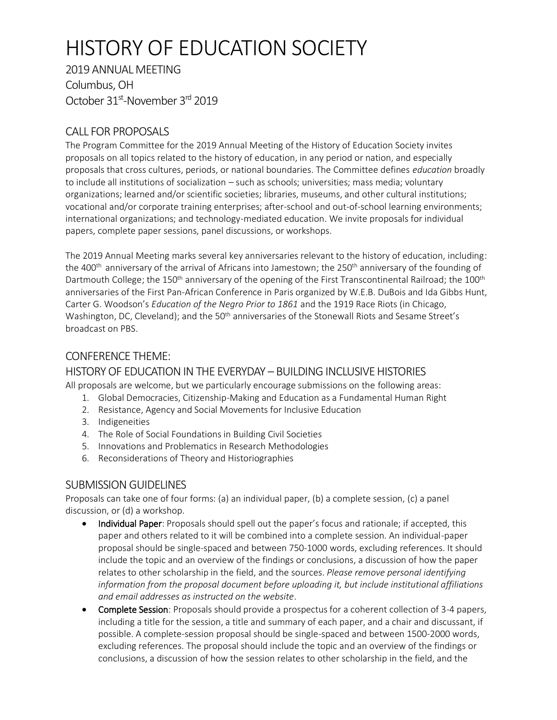# HISTORY OF EDUCATION SOCIETY

2019 ANNUAL MEETING Columbus, OH October 31<sup>st</sup>-November 3<sup>rd</sup> 2019

# CALL FOR PROPOSALS

The Program Committee for the 2019 Annual Meeting of the History of Education Society invites proposals on all topics related to the history of education, in any period or nation, and especially proposals that cross cultures, periods, or national boundaries. The Committee defines *education* broadly to include all institutions of socialization – such as schools; universities; mass media; voluntary organizations; learned and/or scientific societies; libraries, museums, and other cultural institutions; vocational and/or corporate training enterprises; after-school and out-of-school learning environments; international organizations; and technology-mediated education. We invite proposals for individual papers, complete paper sessions, panel discussions, or workshops.

The 2019 Annual Meeting marks several key anniversaries relevant to the history of education, including: the 400<sup>th</sup> anniversary of the arrival of Africans into Jamestown; the 250<sup>th</sup> anniversary of the founding of Dartmouth College; the 150<sup>th</sup> anniversary of the opening of the First Transcontinental Railroad; the 100<sup>th</sup> anniversaries of the First Pan-African Conference in Paris organized by W.E.B. DuBois and Ida Gibbs Hunt, Carter G. Woodson's *Education of the Negro Prior to 1861* and the 1919 Race Riots (in Chicago, Washington, DC, Cleveland); and the 50<sup>th</sup> anniversaries of the Stonewall Riots and Sesame Street's broadcast on PBS.

# CONFERENCE THEME:

## HISTORY OF EDUCATIONIN THE EVERYDAY – BUILDING INCLUSIVE HISTORIES

All proposals are welcome, but we particularly encourage submissions on the following areas:

- 1. Global Democracies, Citizenship-Making and Education as a Fundamental Human Right
- 2. Resistance, Agency and Social Movements for Inclusive Education
- 3. Indigeneities
- 4. The Role of Social Foundations in Building Civil Societies
- 5. Innovations and Problematics in Research Methodologies
- 6. Reconsiderations of Theory and Historiographies

## SUBMISSION GUIDELINES

Proposals can take one of four forms: (a) an individual paper, (b) a complete session, (c) a panel discussion, or (d) a workshop.

- Individual Paper: Proposals should spell out the paper's focus and rationale; if accepted, this paper and others related to it will be combined into a complete session. An individual-paper proposal should be single-spaced and between 750-1000 words, excluding references. It should include the topic and an overview of the findings or conclusions, a discussion of how the paper relates to other scholarship in the field, and the sources. *Please remove personal identifying information from the proposal document before uploading it, but include institutional affiliations and email addresses as instructed on the website*.
- Complete Session: Proposals should provide a prospectus for a coherent collection of 3-4 papers, including a title for the session, a title and summary of each paper, and a chair and discussant, if possible. A complete-session proposal should be single-spaced and between 1500-2000 words, excluding references. The proposal should include the topic and an overview of the findings or conclusions, a discussion of how the session relates to other scholarship in the field, and the